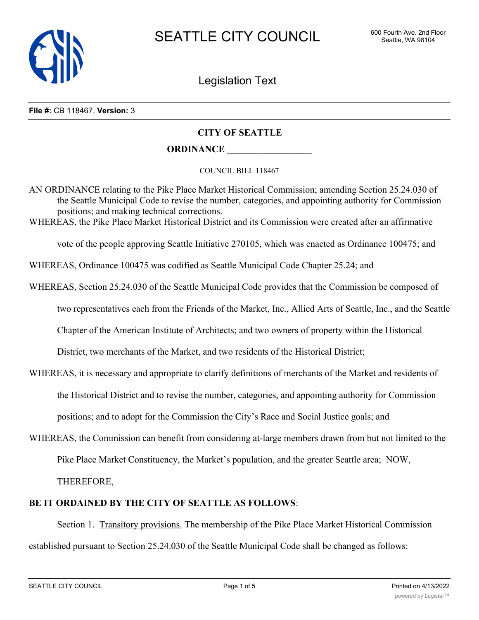

Legislation Text

#### **File #:** CB 118467, **Version:** 3

# **CITY OF SEATTLE**

### **ORDINANCE \_\_\_\_\_\_\_\_\_\_\_\_\_\_\_\_\_\_**

#### COUNCIL BILL 118467

AN ORDINANCE relating to the Pike Place Market Historical Commission; amending Section 25.24.030 of the Seattle Municipal Code to revise the number, categories, and appointing authority for Commission positions; and making technical corrections.

WHEREAS, the Pike Place Market Historical District and its Commission were created after an affirmative

vote of the people approving Seattle Initiative 270105, which was enacted as Ordinance 100475; and

WHEREAS, Ordinance 100475 was codified as Seattle Municipal Code Chapter 25.24; and

WHEREAS, Section 25.24.030 of the Seattle Municipal Code provides that the Commission be composed of

two representatives each from the Friends of the Market, Inc., Allied Arts of Seattle, Inc., and the Seattle

Chapter of the American Institute of Architects; and two owners of property within the Historical

District, two merchants of the Market, and two residents of the Historical District;

WHEREAS, it is necessary and appropriate to clarify definitions of merchants of the Market and residents of

the Historical District and to revise the number, categories, and appointing authority for Commission

positions; and to adopt for the Commission the City's Race and Social Justice goals; and

WHEREAS, the Commission can benefit from considering at-large members drawn from but not limited to the

Pike Place Market Constituency, the Market's population, and the greater Seattle area; NOW,

THEREFORE,

## **BE IT ORDAINED BY THE CITY OF SEATTLE AS FOLLOWS**:

Section 1. Transitory provisions. The membership of the Pike Place Market Historical Commission established pursuant to Section 25.24.030 of the Seattle Municipal Code shall be changed as follows: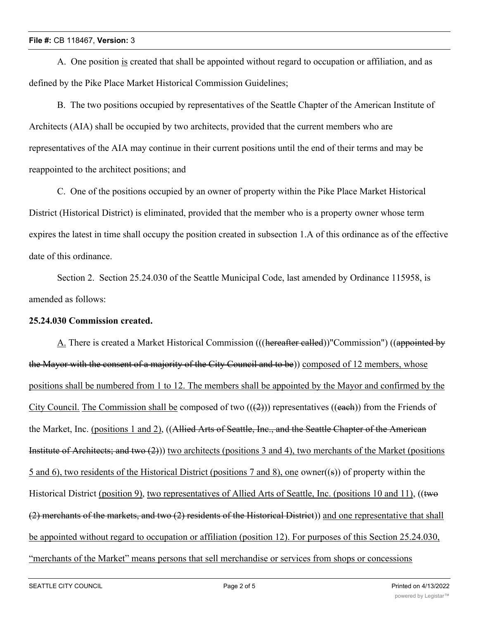### **File #:** CB 118467, **Version:** 3

A. One position is created that shall be appointed without regard to occupation or affiliation, and as defined by the Pike Place Market Historical Commission Guidelines;

B. The two positions occupied by representatives of the Seattle Chapter of the American Institute of Architects (AIA) shall be occupied by two architects, provided that the current members who are representatives of the AIA may continue in their current positions until the end of their terms and may be reappointed to the architect positions; and

C. One of the positions occupied by an owner of property within the Pike Place Market Historical District (Historical District) is eliminated, provided that the member who is a property owner whose term expires the latest in time shall occupy the position created in subsection 1.A of this ordinance as of the effective date of this ordinance.

Section 2. Section 25.24.030 of the Seattle Municipal Code, last amended by Ordinance 115958, is amended as follows:

## **25.24.030 Commission created.**

A. There is created a Market Historical Commission (((hereafter called))"Commission") ((appointed by the Mayor with the consent of a majority of the City Council and to be)) composed of 12 members, whose positions shall be numbered from 1 to 12. The members shall be appointed by the Mayor and confirmed by the City Council. The Commission shall be composed of two  $((2))$  representatives  $((each))$  from the Friends of the Market, Inc. (positions 1 and 2), ((Allied Arts of Seattle, Inc., and the Seattle Chapter of the American Institute of Architects; and two  $(2)$ ) two architects (positions 3 and 4), two merchants of the Market (positions 5 and 6), two residents of the Historical District (positions 7 and 8), one owner((s)) of property within the Historical District (position 9), two representatives of Allied Arts of Seattle, Inc. (positions 10 and 11), ((two (2) merchants of the markets, and two (2) residents of the Historical District)) and one representative that shall be appointed without regard to occupation or affiliation (position 12). For purposes of this Section 25.24.030, "merchants of the Market" means persons that sell merchandise or services from shops or concessions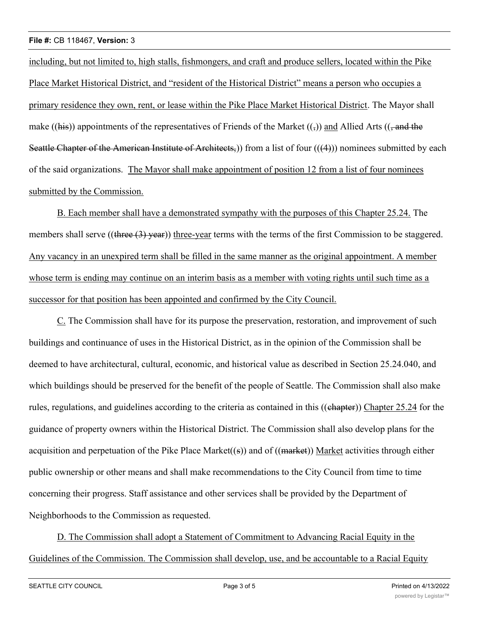including, but not limited to, high stalls, fishmongers, and craft and produce sellers, located within the Pike Place Market Historical District, and "resident of the Historical District" means a person who occupies a primary residence they own, rent, or lease within the Pike Place Market Historical District. The Mayor shall make ((his)) appointments of the representatives of Friends of the Market (( $\frac{1}{2}$ ) and Allied Arts (( $\frac{1}{2}$  and the Seattle Chapter of the American Institute of Architects,) from a list of four (((4))) nominees submitted by each of the said organizations. The Mayor shall make appointment of position 12 from a list of four nominees submitted by the Commission.

B. Each member shall have a demonstrated sympathy with the purposes of this Chapter 25.24. The members shall serve ((three (3) year)) three-year terms with the terms of the first Commission to be staggered. Any vacancy in an unexpired term shall be filled in the same manner as the original appointment. A member whose term is ending may continue on an interim basis as a member with voting rights until such time as a successor for that position has been appointed and confirmed by the City Council.

C. The Commission shall have for its purpose the preservation, restoration, and improvement of such buildings and continuance of uses in the Historical District, as in the opinion of the Commission shall be deemed to have architectural, cultural, economic, and historical value as described in Section 25.24.040, and which buildings should be preserved for the benefit of the people of Seattle. The Commission shall also make rules, regulations, and guidelines according to the criteria as contained in this ((chapter)) Chapter 25.24 for the guidance of property owners within the Historical District. The Commission shall also develop plans for the acquisition and perpetuation of the Pike Place Market((s)) and of  $((\text{market}))$  Market activities through either public ownership or other means and shall make recommendations to the City Council from time to time concerning their progress. Staff assistance and other services shall be provided by the Department of Neighborhoods to the Commission as requested.

D. The Commission shall adopt a Statement of Commitment to Advancing Racial Equity in the Guidelines of the Commission. The Commission shall develop, use, and be accountable to a Racial Equity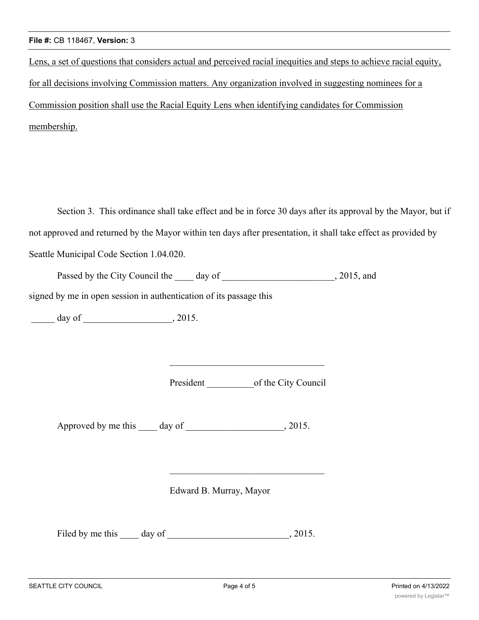Lens, a set of questions that considers actual and perceived racial inequities and steps to achieve racial equity, for all decisions involving Commission matters. Any organization involved in suggesting nominees for a Commission position shall use the Racial Equity Lens when identifying candidates for Commission membership.

Section 3. This ordinance shall take effect and be in force 30 days after its approval by the Mayor, but if not approved and returned by the Mayor within ten days after presentation, it shall take effect as provided by Seattle Municipal Code Section 1.04.020.

Passed by the City Council the day of 3015, and

signed by me in open session in authentication of its passage this

\_\_\_\_\_ day of \_\_\_\_\_\_\_\_\_\_\_\_\_\_\_\_\_\_\_, 2015.

President of the City Council

Approved by me this day of , 2015.

Edward B. Murray, Mayor

Filed by me this day of , 2015.